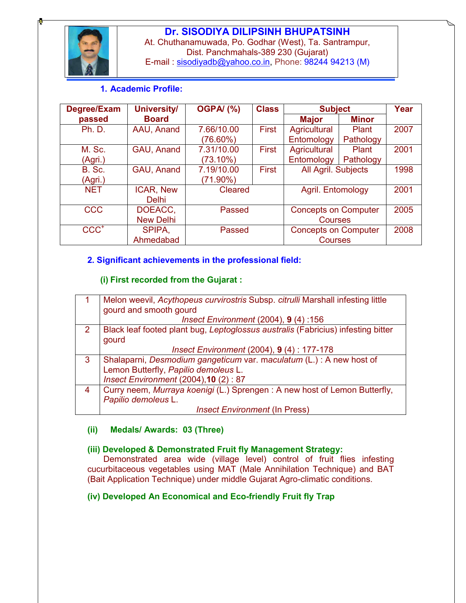

# Dr. SISODIYA DILIPSINH BHUPATSINH

At. Chuthanamuwada, Po. Godhar (West), Ta. Santrampur, Dist. Panchmahals-389 230 (Gujarat) E-mail : sisodiyadb@yahoo.co.in, Phone: 98244 94213 (M)

## 1. Academic Profile:

| Degree/Exam   | <b>University/</b> | <b>OGPA/ (%)</b>           | <b>Class</b> | <b>Subject</b>              |              | Year |
|---------------|--------------------|----------------------------|--------------|-----------------------------|--------------|------|
| passed        | <b>Board</b>       |                            |              | <b>Major</b>                | <b>Minor</b> |      |
| <b>Ph. D.</b> | AAU, Anand         | 7.66/10.00                 | <b>First</b> | Agricultural                | Plant        | 2007 |
|               |                    | (76.60%)                   |              | Entomology                  | Pathology    |      |
| M. Sc.        | GAU, Anand         | 7.31/10.00                 | First        | Agricultural                | Plant        | 2001 |
| (Agri.)       |                    | (73.10%)                   |              | Entomology                  | Pathology    |      |
| <b>B.</b> Sc. | GAU, Anand         | <b>First</b><br>7.19/10.00 |              | All Agril. Subjects         |              | 1998 |
| (Agri.)       |                    | (71.90%)                   |              |                             |              |      |
| <b>NET</b>    | ICAR, New          | Cleared                    |              | Agril. Entomology           |              | 2001 |
|               | <b>Delhi</b>       |                            |              |                             |              |      |
| <b>CCC</b>    | DOEACC,            | Passed                     |              | <b>Concepts on Computer</b> |              | 2005 |
|               | <b>New Delhi</b>   |                            |              | <b>Courses</b>              |              |      |
| $CCC+$        | SPIPA,             | Passed                     |              | <b>Concepts on Computer</b> |              | 2008 |
|               | Ahmedabad          |                            |              | <b>Courses</b>              |              |      |

### 2. Significant achievements in the professional field:

### (i) First recorded from the Gujarat :

|               | Melon weevil, Acythopeus curvirostris Subsp. citrulli Marshall infesting little  |  |  |  |
|---------------|----------------------------------------------------------------------------------|--|--|--|
|               | gourd and smooth gourd                                                           |  |  |  |
|               | Insect Environment (2004), 9 (4):156                                             |  |  |  |
| $\mathcal{P}$ | Black leaf footed plant bug, Leptoglossus australis (Fabricius) infesting bitter |  |  |  |
|               | gourd                                                                            |  |  |  |
|               | <i>Insect Environment (2004), 9 (4) : 177-178</i>                                |  |  |  |
| 3             | Shalaparni, Desmodium gangeticum var. maculatum (L.) : A new host of             |  |  |  |
|               | Lemon Butterfly, Papilio demoleus L.                                             |  |  |  |
|               | Insect Environment (2004), 10 (2): 87                                            |  |  |  |
| 4             | Curry neem, Murraya koenigi (L.) Sprengen: A new host of Lemon Butterfly,        |  |  |  |
|               | Papilio demoleus L.                                                              |  |  |  |
|               | <b>Insect Environment (In Press)</b>                                             |  |  |  |

### (ii) Medals/ Awards: 03 (Three)

### (iii) Developed & Demonstrated Fruit fly Management Strategy:

Demonstrated area wide (village level) control of fruit flies infesting cucurbitaceous vegetables using MAT (Male Annihilation Technique) and BAT (Bait Application Technique) under middle Gujarat Agro-climatic conditions.

### (iv) Developed An Economical and Eco-friendly Fruit fly Trap